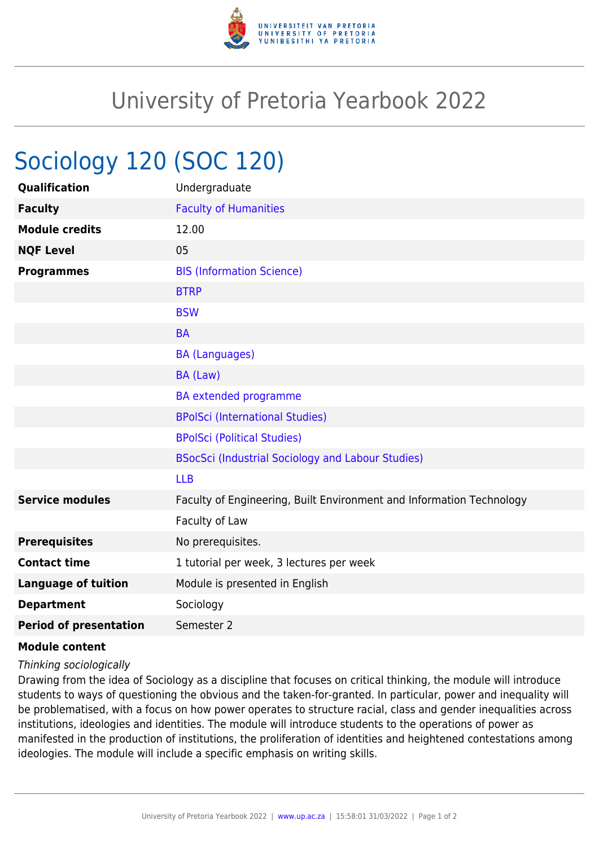

## University of Pretoria Yearbook 2022

## Sociology 120 (SOC 120)

| Qualification                 | Undergraduate                                                        |
|-------------------------------|----------------------------------------------------------------------|
| <b>Faculty</b>                | <b>Faculty of Humanities</b>                                         |
| <b>Module credits</b>         | 12.00                                                                |
| <b>NQF Level</b>              | 05                                                                   |
| <b>Programmes</b>             | <b>BIS (Information Science)</b>                                     |
|                               | <b>BTRP</b>                                                          |
|                               | <b>BSW</b>                                                           |
|                               | <b>BA</b>                                                            |
|                               | <b>BA (Languages)</b>                                                |
|                               | BA (Law)                                                             |
|                               | BA extended programme                                                |
|                               | <b>BPolSci (International Studies)</b>                               |
|                               | <b>BPolSci (Political Studies)</b>                                   |
|                               | BSocSci (Industrial Sociology and Labour Studies)                    |
|                               | <b>LLB</b>                                                           |
| <b>Service modules</b>        | Faculty of Engineering, Built Environment and Information Technology |
|                               | Faculty of Law                                                       |
| <b>Prerequisites</b>          | No prerequisites.                                                    |
| <b>Contact time</b>           | 1 tutorial per week, 3 lectures per week                             |
| <b>Language of tuition</b>    | Module is presented in English                                       |
| <b>Department</b>             | Sociology                                                            |
| <b>Period of presentation</b> | Semester 2                                                           |

## **Module content**

Thinking sociologically

Drawing from the idea of Sociology as a discipline that focuses on critical thinking, the module will introduce students to ways of questioning the obvious and the taken-for-granted. In particular, power and inequality will be problematised, with a focus on how power operates to structure racial, class and gender inequalities across institutions, ideologies and identities. The module will introduce students to the operations of power as manifested in the production of institutions, the proliferation of identities and heightened contestations among ideologies. The module will include a specific emphasis on writing skills.